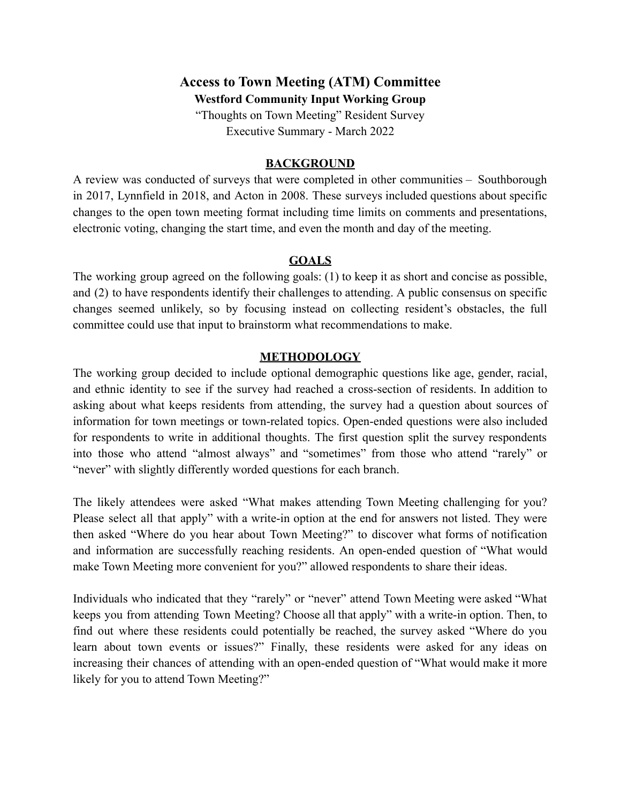# **Access to Town Meeting (ATM) Committee**

**Westford Community Input Working Group**

"Thoughts on Town Meeting" Resident Survey Executive Summary - March 2022

### **BACKGROUND**

A review was conducted of surveys that were completed in other communities – Southborough in 2017, Lynnfield in 2018, and Acton in 2008. These surveys included questions about specific changes to the open town meeting format including time limits on comments and presentations, electronic voting, changing the start time, and even the month and day of the meeting.

### **GOALS**

The working group agreed on the following goals: (1) to keep it as short and concise as possible, and (2) to have respondents identify their challenges to attending. A public consensus on specific changes seemed unlikely, so by focusing instead on collecting resident's obstacles, the full committee could use that input to brainstorm what recommendations to make.

### **METHODOLOGY**

The working group decided to include optional demographic questions like age, gender, racial, and ethnic identity to see if the survey had reached a cross-section of residents. In addition to asking about what keeps residents from attending, the survey had a question about sources of information for town meetings or town-related topics. Open-ended questions were also included for respondents to write in additional thoughts. The first question split the survey respondents into those who attend "almost always" and "sometimes" from those who attend "rarely" or "never" with slightly differently worded questions for each branch.

The likely attendees were asked "What makes attending Town Meeting challenging for you? Please select all that apply" with a write-in option at the end for answers not listed. They were then asked "Where do you hear about Town Meeting?" to discover what forms of notification and information are successfully reaching residents. An open-ended question of "What would make Town Meeting more convenient for you?" allowed respondents to share their ideas.

Individuals who indicated that they "rarely" or "never" attend Town Meeting were asked "What keeps you from attending Town Meeting? Choose all that apply" with a write-in option. Then, to find out where these residents could potentially be reached, the survey asked "Where do you learn about town events or issues?" Finally, these residents were asked for any ideas on increasing their chances of attending with an open-ended question of "What would make it more likely for you to attend Town Meeting?"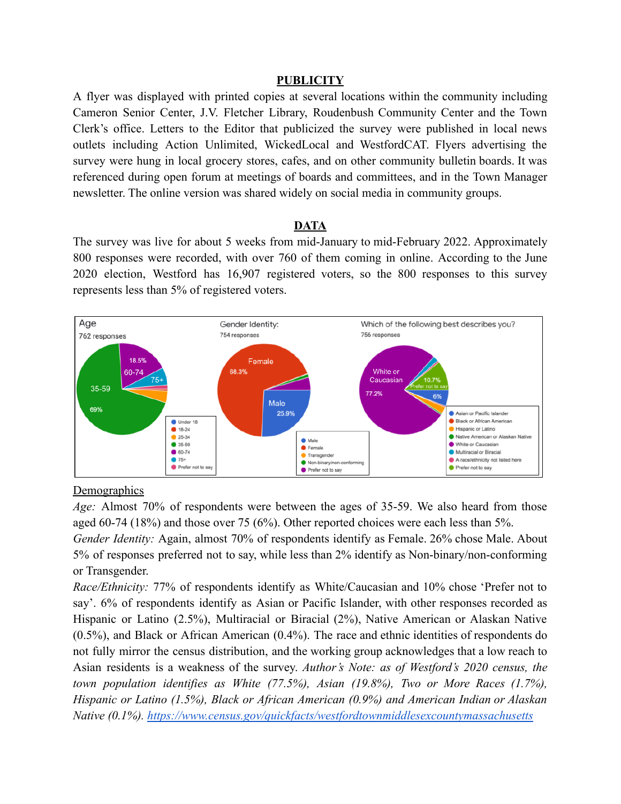#### **PUBLICITY**

A flyer was displayed with printed copies at several locations within the community including Cameron Senior Center, J.V. Fletcher Library, Roudenbush Community Center and the Town Clerk's office. Letters to the Editor that publicized the survey were published in local news outlets including Action Unlimited, WickedLocal and WestfordCAT. Flyers advertising the survey were hung in local grocery stores, cafes, and on other community bulletin boards. It was referenced during open forum at meetings of boards and committees, and in the Town Manager newsletter. The online version was shared widely on social media in community groups.

#### **DATA**

The survey was live for about 5 weeks from mid-January to mid-February 2022. Approximately 800 responses were recorded, with over 760 of them coming in online. According to the June 2020 election, Westford has 16,907 registered voters, so the 800 responses to this survey represents less than 5% of registered voters.



#### **Demographics**

*Age:* Almost 70% of respondents were between the ages of 35-59. We also heard from those aged 60-74 (18%) and those over 75 (6%). Other reported choices were each less than 5%.

*Gender Identity:* Again, almost 70% of respondents identify as Female. 26% chose Male. About 5% of responses preferred not to say, while less than 2% identify as Non-binary/non-conforming or Transgender.

*Race/Ethnicity:* 77% of respondents identify as White/Caucasian and 10% chose 'Prefer not to say'. 6% of respondents identify as Asian or Pacific Islander, with other responses recorded as Hispanic or Latino (2.5%), Multiracial or Biracial (2%), Native American or Alaskan Native (0.5%), and Black or African American (0.4%). The race and ethnic identities of respondents do not fully mirror the census distribution, and the working group acknowledges that a low reach to Asian residents is a weakness of the survey. *Author's Note: as of Westford's 2020 census, the town population identifies as White (77.5%), Asian (19.8%), Two or More Races (1.7%), Hispanic or Latino (1.5%), Black or African American (0.9%) and American Indian or Alaskan Native (0.1%). <https://www.census.gov/quickfacts/westfordtownmiddlesexcountymassachusetts>*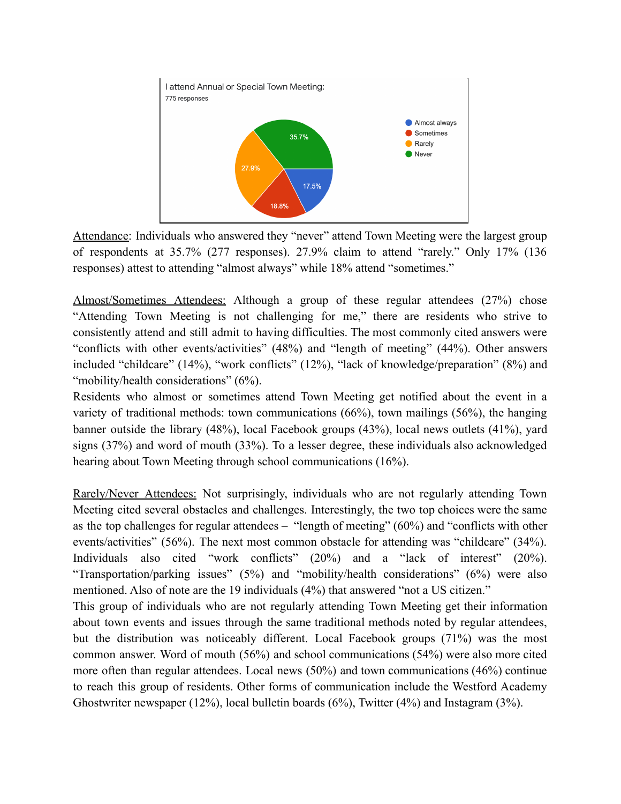

Attendance: Individuals who answered they "never" attend Town Meeting were the largest group of respondents at 35.7% (277 responses). 27.9% claim to attend "rarely." Only 17% (136 responses) attest to attending "almost always" while 18% attend "sometimes."

Almost/Sometimes Attendees: Although a group of these regular attendees (27%) chose "Attending Town Meeting is not challenging for me," there are residents who strive to consistently attend and still admit to having difficulties. The most commonly cited answers were "conflicts with other events/activities" (48%) and "length of meeting" (44%). Other answers included "childcare" (14%), "work conflicts" (12%), "lack of knowledge/preparation" (8%) and "mobility/health considerations" (6%).

Residents who almost or sometimes attend Town Meeting get notified about the event in a variety of traditional methods: town communications (66%), town mailings (56%), the hanging banner outside the library (48%), local Facebook groups (43%), local news outlets (41%), yard signs (37%) and word of mouth (33%). To a lesser degree, these individuals also acknowledged hearing about Town Meeting through school communications (16%).

Rarely/Never Attendees: Not surprisingly, individuals who are not regularly attending Town Meeting cited several obstacles and challenges. Interestingly, the two top choices were the same as the top challenges for regular attendees – "length of meeting" (60%) and "conflicts with other events/activities" (56%). The next most common obstacle for attending was "childcare" (34%). Individuals also cited "work conflicts" (20%) and a "lack of interest" (20%). "Transportation/parking issues" (5%) and "mobility/health considerations" (6%) were also mentioned. Also of note are the 19 individuals (4%) that answered "not a US citizen."

This group of individuals who are not regularly attending Town Meeting get their information about town events and issues through the same traditional methods noted by regular attendees, but the distribution was noticeably different. Local Facebook groups (71%) was the most common answer. Word of mouth (56%) and school communications (54%) were also more cited more often than regular attendees. Local news (50%) and town communications (46%) continue to reach this group of residents. Other forms of communication include the Westford Academy Ghostwriter newspaper (12%), local bulletin boards (6%), Twitter (4%) and Instagram (3%).